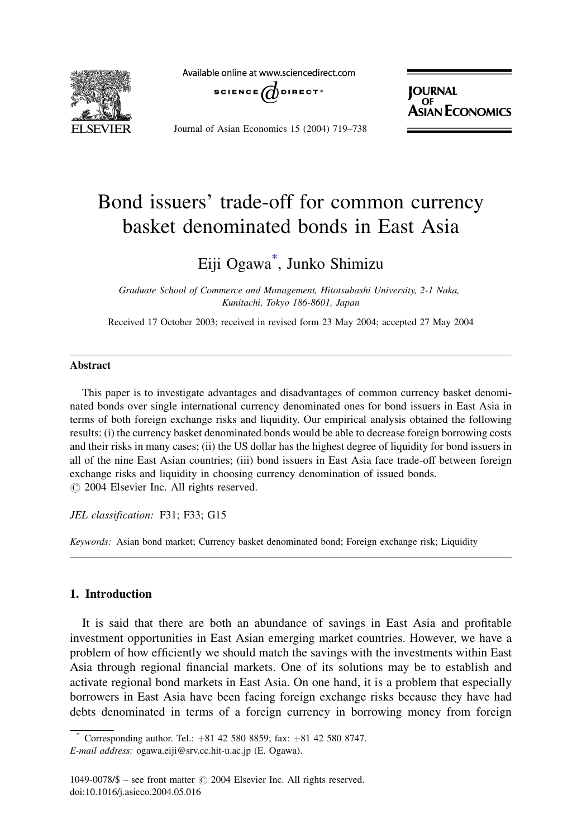

Available online at www.sciencedirect.com



**JOURNAL PORTAL**<br>ASIAN ECONOMICS

Journal of Asian Economics 15 (2004) 719–738

# Bond issuers' trade-off for common currency basket denominated bonds in East Asia

# Eiji Ogawa\* , Junko Shimizu

Graduate School of Commerce and Management, Hitotsubashi University, 2-1 Naka, Kunitachi, Tokyo 186-8601, Japan

Received 17 October 2003; received in revised form 23 May 2004; accepted 27 May 2004

### Abstract

This paper is to investigate advantages and disadvantages of common currency basket denominated bonds over single international currency denominated ones for bond issuers in East Asia in terms of both foreign exchange risks and liquidity. Our empirical analysis obtained the following results: (i) the currency basket denominated bonds would be able to decrease foreign borrowing costs and their risks in many cases; (ii) the US dollar has the highest degree of liquidity for bond issuers in all of the nine East Asian countries; (iii) bond issuers in East Asia face trade-off between foreign exchange risks and liquidity in choosing currency denomination of issued bonds.  $\odot$  2004 Elsevier Inc. All rights reserved.

JEL classification: F31; F33; G15

Keywords: Asian bond market; Currency basket denominated bond; Foreign exchange risk; Liquidity

## 1. Introduction

It is said that there are both an abundance of savings in East Asia and profitable investment opportunities in East Asian emerging market countries. However, we have a problem of how efficiently we should match the savings with the investments within East Asia through regional financial markets. One of its solutions may be to establish and activate regional bond markets in East Asia. On one hand, it is a problem that especially borrowers in East Asia have been facing foreign exchange risks because they have had debts denominated in terms of a foreign currency in borrowing money from foreign

Corresponding author. Tel.:  $+81$  42 580 8859; fax:  $+81$  42 580 8747. E-mail address: ogawa.eiji@srv.cc.hit-u.ac.jp (E. Ogawa).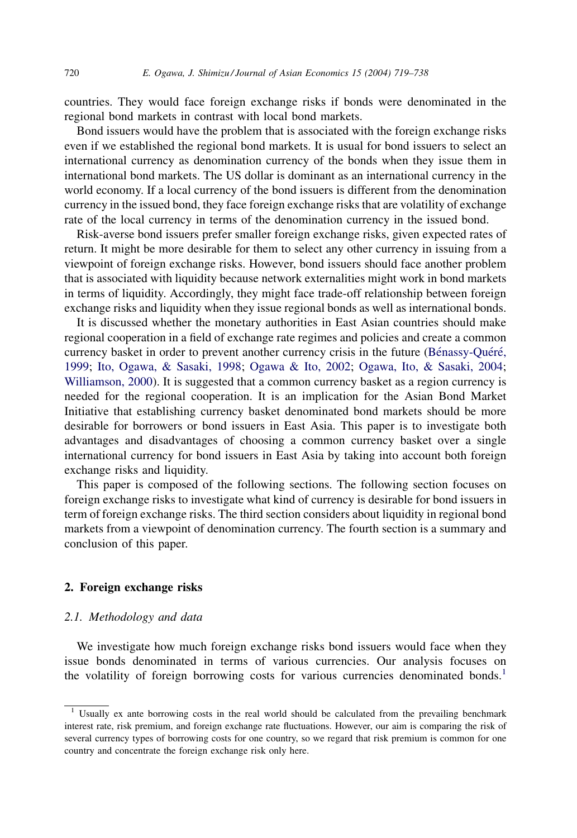countries. They would face foreign exchange risks if bonds were denominated in the regional bond markets in contrast with local bond markets.

Bond issuers would have the problem that is associated with the foreign exchange risks even if we established the regional bond markets. It is usual for bond issuers to select an international currency as denomination currency of the bonds when they issue them in international bond markets. The US dollar is dominant as an international currency in the world economy. If a local currency of the bond issuers is different from the denomination currency in the issued bond, they face foreign exchange risks that are volatility of exchange rate of the local currency in terms of the denomination currency in the issued bond.

Risk-averse bond issuers prefer smaller foreign exchange risks, given expected rates of return. It might be more desirable for them to select any other currency in issuing from a viewpoint of foreign exchange risks. However, bond issuers should face another problem that is associated with liquidity because network externalities might work in bond markets in terms of liquidity. Accordingly, they might face trade-off relationship between foreign exchange risks and liquidity when they issue regional bonds as well as international bonds.

It is discussed whether the monetary authorities in East Asian countries should make regional cooperation in a field of exchange rate regimes and policies and create a common currency basket in order to prevent another currency crisis in the future (Bénassy-Quéré, [1999](#page--1-0); [Ito, Ogawa, & Sasaki, 1998;](#page--1-0) [Ogawa & Ito, 2002;](#page--1-0) [Ogawa, Ito, & Sasaki, 2004](#page--1-0); [Williamson, 2000\)](#page--1-0). It is suggested that a common currency basket as a region currency is needed for the regional cooperation. It is an implication for the Asian Bond Market Initiative that establishing currency basket denominated bond markets should be more desirable for borrowers or bond issuers in East Asia. This paper is to investigate both advantages and disadvantages of choosing a common currency basket over a single international currency for bond issuers in East Asia by taking into account both foreign exchange risks and liquidity.

This paper is composed of the following sections. The following section focuses on foreign exchange risks to investigate what kind of currency is desirable for bond issuers in term of foreign exchange risks. The third section considers about liquidity in regional bond markets from a viewpoint of denomination currency. The fourth section is a summary and conclusion of this paper.

### 2. Foreign exchange risks

### 2.1. Methodology and data

We investigate how much foreign exchange risks bond issuers would face when they issue bonds denominated in terms of various currencies. Our analysis focuses on the volatility of foreign borrowing costs for various currencies denominated bonds.<sup>1</sup>

 $1$  Usually ex ante borrowing costs in the real world should be calculated from the prevailing benchmark interest rate, risk premium, and foreign exchange rate fluctuations. However, our aim is comparing the risk of several currency types of borrowing costs for one country, so we regard that risk premium is common for one country and concentrate the foreign exchange risk only here.